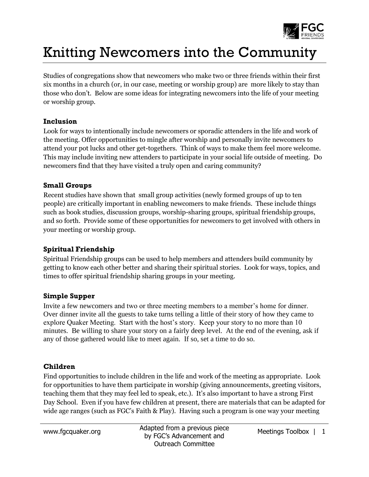

# Knitting Newcomers into the Community

Studies of congregations show that newcomers who make two or three friends within their first six months in a church (or, in our case, meeting or worship group) are more likely to stay than those who don't. Below are some ideas for integrating newcomers into the life of your meeting or worship group.

### **Inclusion**

Look for ways to intentionally include newcomers or sporadic attenders in the life and work of the meeting. Offer opportunities to mingle after worship and personally invite newcomers to attend your pot lucks and other get-togethers. Think of ways to make them feel more welcome. This may include inviting new attenders to participate in your social life outside of meeting. Do newcomers find that they have visited a truly open and caring community?

# **Small Groups**

Recent studies have shown that small group activities (newly formed groups of up to ten people) are critically important in enabling newcomers to make friends. These include things such as book studies, discussion groups, worship-sharing groups, spiritual friendship groups, and so forth. Provide some of these opportunities for newcomers to get involved with others in your meeting or worship group.

# **Spiritual Friendship**

Spiritual Friendship groups can be used to help members and attenders build community by getting to know each other better and sharing their spiritual stories. Look for ways, topics, and times to offer spiritual friendship sharing groups in your meeting.

#### **Simple Supper**

Invite a few newcomers and two or three meeting members to a member's home for dinner. Over dinner invite all the guests to take turns telling a little of their story of how they came to explore Quaker Meeting. Start with the host's story. Keep your story to no more than 10 minutes. Be willing to share your story on a fairly deep level. At the end of the evening, ask if any of those gathered would like to meet again. If so, set a time to do so.

# **Children**

Find opportunities to include children in the life and work of the meeting as appropriate. Look for opportunities to have them participate in worship (giving announcements, greeting visitors, teaching them that they may feel led to speak, etc.). It's also important to have a strong First Day School. Even if you have few children at present, there are materials that can be adapted for wide age ranges (such as FGC's Faith & Play). Having such a program is one way your meeting